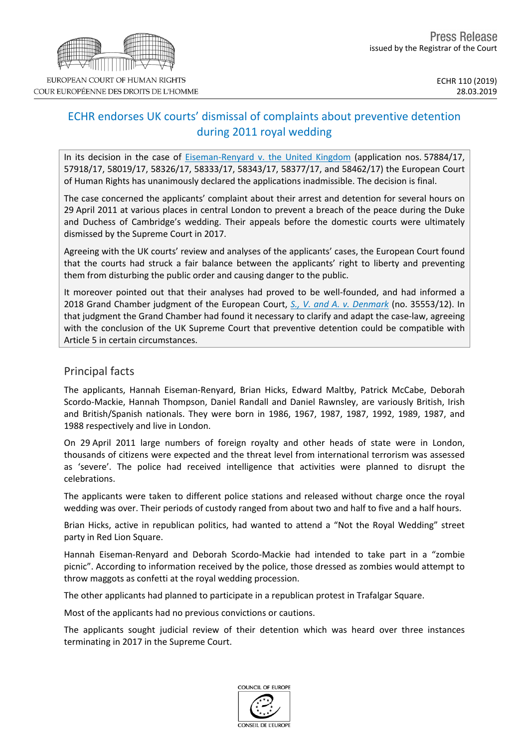

# ECHR endorses UK courts' dismissal of complaints about preventive detention during 2011 royal wedding

In its decision in the case of **[Eiseman-Renyard](http://hudoc.echr.coe.int/eng?i=001-192370) v.** the United Kingdom (application nos. 57884/17, 57918/17, 58019/17, 58326/17, 58333/17, 58343/17, 58377/17, and 58462/17) the European Court of Human Rights has unanimously declared the applications inadmissible. The decision is final.

The case concerned the applicants' complaint about their arrest and detention for several hours on 29 April 2011 at various places in central London to prevent a breach of the peace during the Duke and Duchess of Cambridge's wedding. Their appeals before the domestic courts were ultimately dismissed by the Supreme Court in 2017.

Agreeing with the UK courts' review and analyses of the applicants' cases, the European Court found that the courts had struck a fair balance between the applicants' right to liberty and preventing them from disturbing the public order and causing danger to the public.

It moreover pointed out that their analyses had proved to be well-founded, and had informed a 2018 Grand Chamber judgment of the European Court, *S., V. and A. v. [Denmark](http://hudoc.echr.coe.int/eng-press?i=003-6231634-8099210)* (no. 35553/12). In that judgment the Grand Chamber had found it necessary to clarify and adapt the case-law, agreeing with the conclusion of the UK Supreme Court that preventive detention could be compatible with Article 5 in certain circumstances.

#### Principal facts

The applicants, Hannah Eiseman-Renyard, Brian Hicks, Edward Maltby, Patrick McCabe, Deborah Scordo-Mackie, Hannah Thompson, Daniel Randall and Daniel Rawnsley, are variously British, Irish and British/Spanish nationals. They were born in 1986, 1967, 1987, 1987, 1992, 1989, 1987, and 1988 respectively and live in London.

On 29 April 2011 large numbers of foreign royalty and other heads of state were in London, thousands of citizens were expected and the threat level from international terrorism was assessed as 'severe'. The police had received intelligence that activities were planned to disrupt the celebrations.

The applicants were taken to different police stations and released without charge once the royal wedding was over. Their periods of custody ranged from about two and half to five and a half hours.

Brian Hicks, active in republican politics, had wanted to attend a "Not the Royal Wedding" street party in Red Lion Square.

Hannah Eiseman-Renyard and Deborah Scordo-Mackie had intended to take part in a "zombie picnic". According to information received by the police, those dressed as zombies would attempt to throw maggots as confetti at the royal wedding procession.

The other applicants had planned to participate in a republican protest in Trafalgar Square.

Most of the applicants had no previous convictions or cautions.

The applicants sought judicial review of their detention which was heard over three instances terminating in 2017 in the Supreme Court.

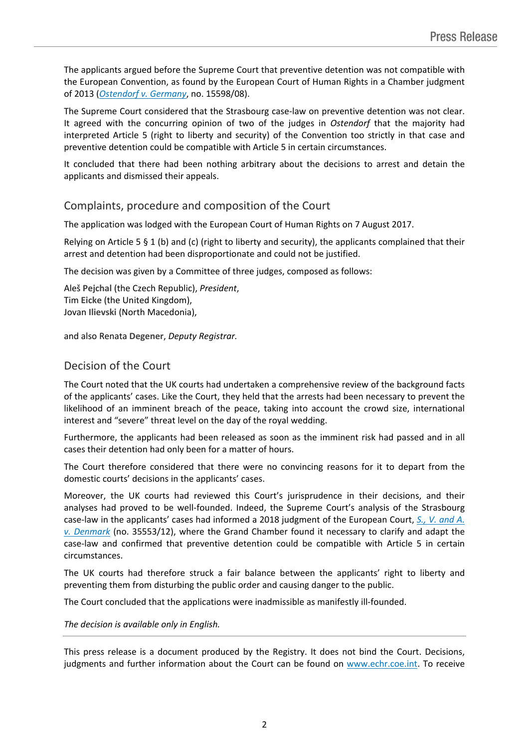The applicants argued before the Supreme Court that preventive detention was not compatible with the European Convention, as found by the European Court of Human Rights in a Chamber judgment of 2013 (*[Ostendorf](http://hudoc.echr.coe.int/eng-press?i=003-4282482-5111626) v. Germany*, no. 15598/08).

The Supreme Court considered that the Strasbourg case-law on preventive detention was not clear. It agreed with the concurring opinion of two of the judges in *Ostendorf* that the majority had interpreted Article 5 (right to liberty and security) of the Convention too strictly in that case and preventive detention could be compatible with Article 5 in certain circumstances.

It concluded that there had been nothing arbitrary about the decisions to arrest and detain the applicants and dismissed their appeals.

## Complaints, procedure and composition of the Court

The application was lodged with the European Court of Human Rights on 7 August 2017.

Relying on Article 5  $\S$  1 (b) and (c) (right to liberty and security), the applicants complained that their arrest and detention had been disproportionate and could not be justified.

The decision was given by a Committee of three judges, composed as follows:

Aleš **Pejchal** (the Czech Republic), *President*, Tim **Eicke** (the United Kingdom), Jovan **Ilievski** (North Macedonia),

and also Renata **Degener**, *Deputy Registrar.*

## Decision of the Court

The Court noted that the UK courts had undertaken a comprehensive review of the background facts of the applicants' cases. Like the Court, they held that the arrests had been necessary to prevent the likelihood of an imminent breach of the peace, taking into account the crowd size, international interest and "severe" threat level on the day of the royal wedding.

Furthermore, the applicants had been released as soon as the imminent risk had passed and in all cases their detention had only been for a matter of hours.

The Court therefore considered that there were no convincing reasons for it to depart from the domestic courts' decisions in the applicants' cases.

Moreover, the UK courts had reviewed this Court's jurisprudence in their decisions, and their analyses had proved to be well-founded. Indeed, the Supreme Court's analysis of the Strasbourg case-law in the applicants' cases had informed a 2018 judgment of the European Court, *S., V. [and](http://hudoc.echr.coe.int/eng-press?i=003-6231634-8099210) A. v. [Denmark](http://hudoc.echr.coe.int/eng-press?i=003-6231634-8099210)* (no. 35553/12), where the Grand Chamber found it necessary to clarify and adapt the case-law and confirmed that preventive detention could be compatible with Article 5 in certain circumstances.

The UK courts had therefore struck a fair balance between the applicants' right to liberty and preventing them from disturbing the public order and causing danger to the public.

The Court concluded that the applications were inadmissible as manifestly ill-founded.

#### *The decision is available only in English.*

This press release is a document produced by the Registry. It does not bind the Court. Decisions, judgments and further information about the Court can be found on [www.echr.coe.int](http://www.echr.coe.int/). To receive